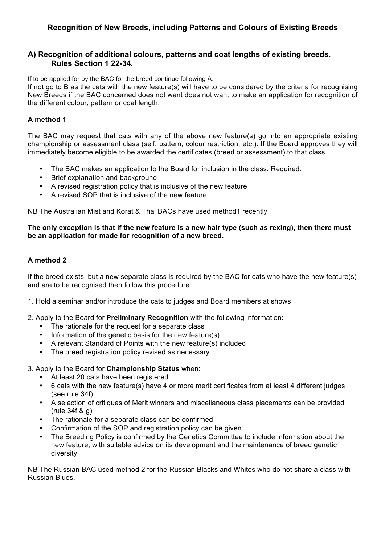# **Recognition of New Breeds, including Patterns and Colours of Existing Breeds**

### **A) Recognition of additional colours, patterns and coat lengths of existing breeds. Rules Section 1 22-34.**

If to be applied for by the BAC for the breed continue following A.

If not go to B as the cats with the new feature(s) will have to be considered by the criteria for recognising New Breeds if the BAC concerned does not want does not want to make an application for recognition of the different colour, pattern or coat length.

#### **A method 1**

The BAC may request that cats with any of the above new feature(s) go into an appropriate existing championship or assessment class (self, pattern, colour restriction, etc.). If the Board approves they will immediately become eligible to be awarded the certificates (breed or assessment) to that class.

- The BAC makes an application to the Board for inclusion in the class. Required:
- Brief explanation and background
- A revised registration policy that is inclusive of the new feature
- A revised SOP that is inclusive of the new feature

NB The Australian Mist and Korat & Thai BACs have used method1 recently

#### **The only exception is that if the new feature is a new hair type (such as rexing), then there must be an application for made for recognition of a new breed.**

## **A method 2**

If the breed exists, but a new separate class is required by the BAC for cats who have the new feature(s) and are to be recognised then follow this procedure:

- 1. Hold a seminar and/or introduce the cats to judges and Board members at shows
- 2. Apply to the Board for **Preliminary Recognition** with the following information:
	- The rationale for the request for a separate class
	- Information of the genetic basis for the new feature(s)
	- A relevant Standard of Points with the new feature(s) included
	- The breed registration policy revised as necessary
- 3. Apply to the Board for **Championship Status** when:
	- At least 20 cats have been registered<br>•  $\overline{6}$  cats with the new feature(s) have 4 of
	- 6 cats with the new feature(s) have 4 or more merit certificates from at least 4 different judges (see rule 34f)
	- A selection of critiques of Merit winners and miscellaneous class placements can be provided (rule 34f & g)
	- The rationale for a separate class can be confirmed
	- Confirmation of the SOP and registration policy can be given
	- The Breeding Policy is confirmed by the Genetics Committee to include information about the new feature, with suitable advice on its development and the maintenance of breed genetic diversity

NB The Russian BAC used method 2 for the Russian Blacks and Whites who do not share a class with Russian Blues.